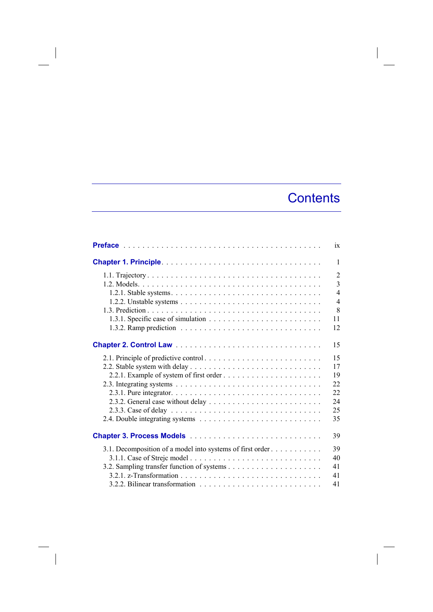## **Contents**

|                                                           | ix             |
|-----------------------------------------------------------|----------------|
|                                                           | $\mathbf{1}$   |
|                                                           | $\overline{2}$ |
|                                                           | $\overline{3}$ |
|                                                           | $\overline{4}$ |
|                                                           | $\overline{4}$ |
|                                                           | 8              |
|                                                           | 11             |
|                                                           | 12             |
|                                                           | 15             |
|                                                           | 15             |
|                                                           | 17             |
|                                                           | 19             |
|                                                           | 22             |
|                                                           | 22             |
|                                                           | 24             |
|                                                           | 25             |
|                                                           | 35             |
|                                                           | 39             |
| 3.1. Decomposition of a model into systems of first order | 39             |
|                                                           | 40             |
|                                                           | 41             |
|                                                           | 41             |
|                                                           | 41             |

 $\overline{\phantom{a}}$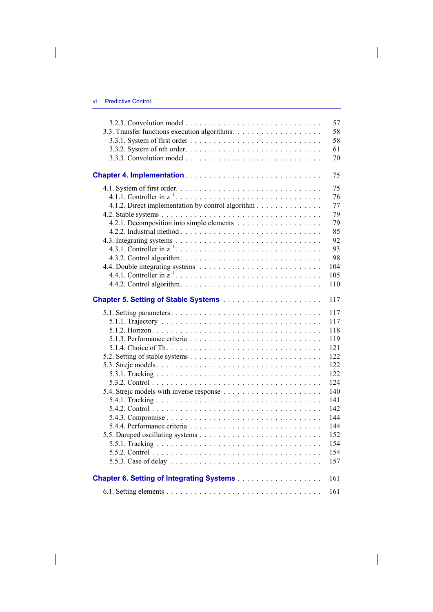$\overline{\phantom{a}}$ 

 $\begin{array}{c} \hline \end{array}$ 

|                                                   | 57  |
|---------------------------------------------------|-----|
|                                                   | 58  |
|                                                   | 58  |
|                                                   | 61  |
|                                                   | 70  |
|                                                   |     |
|                                                   | 75  |
|                                                   | 75  |
|                                                   | 76  |
| 4.1.2. Direct implementation by control algorithm | 77  |
|                                                   | 79  |
|                                                   | 79  |
|                                                   | 85  |
|                                                   | 92  |
|                                                   | 93  |
|                                                   | 98  |
|                                                   | 104 |
|                                                   | 105 |
|                                                   | 110 |
|                                                   | 117 |
|                                                   | 117 |
|                                                   | 117 |
|                                                   | 118 |
|                                                   | 119 |
|                                                   | 121 |
|                                                   | 122 |
|                                                   | 122 |
|                                                   | 122 |
|                                                   | 124 |
|                                                   | 140 |
|                                                   | 141 |
|                                                   | 142 |
|                                                   | 144 |
|                                                   | 144 |
|                                                   | 152 |
|                                                   | 154 |
|                                                   | 154 |
|                                                   | 157 |
|                                                   |     |
|                                                   | 161 |
|                                                   | 161 |

 $\Bigg\vert$